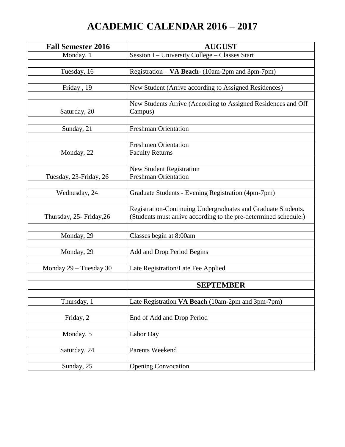## **ACADEMIC CALENDAR 2016 – 2017**

| <b>Fall Semester 2016</b> | <b>AUGUST</b>                                                                                                                     |
|---------------------------|-----------------------------------------------------------------------------------------------------------------------------------|
| Monday, 1                 | Session I - University College - Classes Start                                                                                    |
|                           |                                                                                                                                   |
| Tuesday, 16               | Registration - VA Beach- (10am-2pm and 3pm-7pm)                                                                                   |
| Friday, 19                | New Student (Arrive according to Assigned Residences)                                                                             |
|                           |                                                                                                                                   |
| Saturday, 20              | New Students Arrive (According to Assigned Residences and Off<br>Campus)                                                          |
|                           |                                                                                                                                   |
| Sunday, 21                | <b>Freshman Orientation</b>                                                                                                       |
|                           |                                                                                                                                   |
|                           | <b>Freshmen Orientation</b>                                                                                                       |
| Monday, 22                | <b>Faculty Returns</b>                                                                                                            |
|                           | <b>New Student Registration</b>                                                                                                   |
| Tuesday, 23-Friday, 26    | <b>Freshman Orientation</b>                                                                                                       |
|                           |                                                                                                                                   |
| Wednesday, 24             | Graduate Students - Evening Registration (4pm-7pm)                                                                                |
|                           |                                                                                                                                   |
| Thursday, 25- Friday, 26  | Registration-Continuing Undergraduates and Graduate Students.<br>(Students must arrive according to the pre-determined schedule.) |
|                           |                                                                                                                                   |
| Monday, 29                | Classes begin at 8:00am                                                                                                           |
| Monday, 29                | Add and Drop Period Begins                                                                                                        |
|                           |                                                                                                                                   |
| Monday 29 - Tuesday 30    | Late Registration/Late Fee Applied                                                                                                |
|                           |                                                                                                                                   |
|                           | <b>SEPTEMBER</b>                                                                                                                  |
|                           |                                                                                                                                   |
| Thursday, 1               | Late Registration VA Beach (10am-2pm and 3pm-7pm)                                                                                 |
| Friday, 2                 | End of Add and Drop Period                                                                                                        |
|                           |                                                                                                                                   |
| Monday, 5                 | Labor Day                                                                                                                         |
|                           |                                                                                                                                   |
| Saturday, 24              | Parents Weekend                                                                                                                   |
|                           |                                                                                                                                   |
| Sunday, 25                | <b>Opening Convocation</b>                                                                                                        |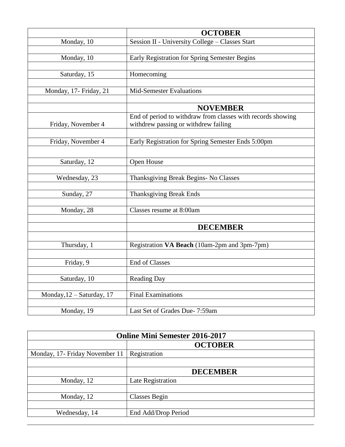|                           | <b>OCTOBER</b>                                                                                      |
|---------------------------|-----------------------------------------------------------------------------------------------------|
| Monday, 10                | Session II - University College - Classes Start                                                     |
|                           |                                                                                                     |
| Monday, 10                | Early Registration for Spring Semester Begins                                                       |
|                           |                                                                                                     |
| Saturday, 15              | Homecoming                                                                                          |
|                           |                                                                                                     |
| Monday, 17- Friday, 21    | <b>Mid-Semester Evaluations</b>                                                                     |
|                           |                                                                                                     |
|                           | <b>NOVEMBER</b>                                                                                     |
| Friday, November 4        | End of period to withdraw from classes with records showing<br>withdrew passing or withdrew failing |
|                           |                                                                                                     |
| Friday, November 4        | Early Registration for Spring Semester Ends 5:00pm                                                  |
|                           |                                                                                                     |
|                           |                                                                                                     |
| Saturday, 12              | Open House                                                                                          |
| Wednesday, 23             | Thanksgiving Break Begins- No Classes                                                               |
|                           |                                                                                                     |
| Sunday, 27                | <b>Thanksgiving Break Ends</b>                                                                      |
|                           |                                                                                                     |
| Monday, 28                | Classes resume at 8:00am                                                                            |
|                           |                                                                                                     |
|                           | <b>DECEMBER</b>                                                                                     |
|                           |                                                                                                     |
| Thursday, 1               | Registration VA Beach (10am-2pm and 3pm-7pm)                                                        |
|                           |                                                                                                     |
| Friday, 9                 | End of Classes                                                                                      |
|                           |                                                                                                     |
| Saturday, 10              | Reading Day                                                                                         |
|                           | <b>Final Examinations</b>                                                                           |
| Monday, 12 - Saturday, 17 |                                                                                                     |
| Monday, 19                | Last Set of Grades Due- 7:59am                                                                      |
|                           |                                                                                                     |

| <b>Online Mini Semester 2016-2017</b> |                     |
|---------------------------------------|---------------------|
|                                       | <b>OCTOBER</b>      |
| Monday, 17- Friday November 11        | Registration        |
|                                       |                     |
|                                       | <b>DECEMBER</b>     |
| Monday, 12                            | Late Registration   |
|                                       |                     |
| Monday, 12                            | Classes Begin       |
|                                       |                     |
| Wednesday, 14                         | End Add/Drop Period |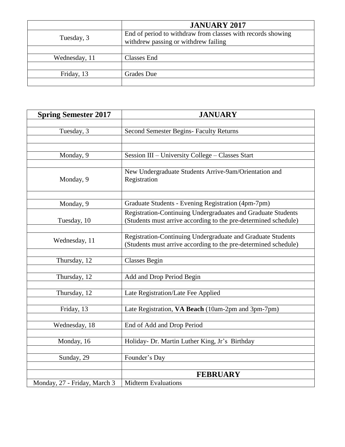|               | <b>JANUARY 2017</b>                                                                                 |
|---------------|-----------------------------------------------------------------------------------------------------|
| Tuesday, 3    | End of period to withdraw from classes with records showing<br>withdrew passing or withdrew failing |
|               |                                                                                                     |
| Wednesday, 11 | Classes End                                                                                         |
|               |                                                                                                     |
| Friday, 13    | Grades Due                                                                                          |
|               |                                                                                                     |

| <b>Spring Semester 2017</b>  | <b>JANUARY</b>                                                                                                                  |
|------------------------------|---------------------------------------------------------------------------------------------------------------------------------|
|                              |                                                                                                                                 |
| Tuesday, 3                   | <b>Second Semester Begins- Faculty Returns</b>                                                                                  |
|                              |                                                                                                                                 |
|                              |                                                                                                                                 |
| Monday, 9                    | Session III - University College - Classes Start                                                                                |
| Monday, 9                    | New Undergraduate Students Arrive-9am/Orientation and<br>Registration                                                           |
| Monday, 9                    | Graduate Students - Evening Registration (4pm-7pm)                                                                              |
| Tuesday, 10                  | Registration-Continuing Undergraduates and Graduate Students<br>(Students must arrive according to the pre-determined schedule) |
| Wednesday, 11                | Registration-Continuing Undergraduate and Graduate Students<br>(Students must arrive according to the pre-determined schedule)  |
|                              |                                                                                                                                 |
| Thursday, 12                 | <b>Classes Begin</b>                                                                                                            |
|                              |                                                                                                                                 |
| Thursday, 12                 | Add and Drop Period Begin                                                                                                       |
| Thursday, 12                 | Late Registration/Late Fee Applied                                                                                              |
| Friday, 13                   | Late Registration, VA Beach (10am-2pm and 3pm-7pm)                                                                              |
|                              |                                                                                                                                 |
| Wednesday, 18                | End of Add and Drop Period                                                                                                      |
| Monday, 16                   | Holiday- Dr. Martin Luther King, Jr's Birthday                                                                                  |
| Sunday, 29                   | Founder's Day                                                                                                                   |
|                              |                                                                                                                                 |
|                              | <b>FEBRUARY</b>                                                                                                                 |
| Monday, 27 - Friday, March 3 | <b>Midterm Evaluations</b>                                                                                                      |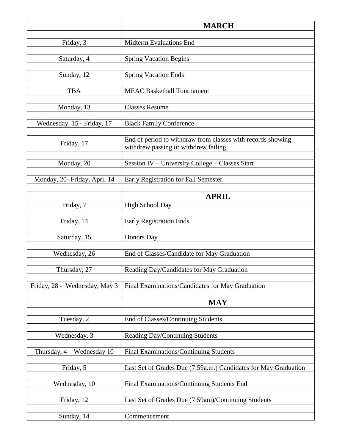|                               | <b>MARCH</b>                                                                                        |
|-------------------------------|-----------------------------------------------------------------------------------------------------|
| Friday, 3                     | <b>Midterm Evaluations End</b>                                                                      |
|                               |                                                                                                     |
| Saturday, 4                   | <b>Spring Vacation Begins</b>                                                                       |
| Sunday, 12                    | <b>Spring Vacation Ends</b>                                                                         |
| <b>TBA</b>                    | <b>MEAC Basketball Tournament</b>                                                                   |
|                               |                                                                                                     |
| Monday, 13                    | <b>Classes Resume</b>                                                                               |
| Wednesday, 15 - Friday, 17    | <b>Black Family Conference</b>                                                                      |
| Friday, 17                    | End of period to withdraw from classes with records showing<br>withdrew passing or withdrew failing |
| Monday, 20                    | Session IV - University College - Classes Start                                                     |
|                               |                                                                                                     |
| Monday, 20- Friday, April 14  | Early Registration for Fall Semester                                                                |
|                               | <b>APRIL</b>                                                                                        |
| Friday, 7                     | <b>High School Day</b>                                                                              |
| Friday, 14                    | <b>Early Registration Ends</b>                                                                      |
| Saturday, 15                  | Honors Day                                                                                          |
| Wednesday, 26                 | End of Classes/Candidate for May Graduation                                                         |
| Thursday, 27                  | Reading Day/Candidates for May Graduation                                                           |
| Friday, 28 - Wednesday, May 3 | Final Examinations/Candidates for May Graduation                                                    |
|                               | <b>MAY</b>                                                                                          |
| Tuesday, 2                    | End of Classes/Continuing Students                                                                  |
| Wednesday, 3                  | Reading Day/Continuing Students                                                                     |
| Thursday, 4 - Wednesday 10    | Final Examinations/Continuing Students                                                              |
| Friday, 5                     | Last Set of Grades Due (7:59a.m.) Candidates for May Graduation                                     |
|                               |                                                                                                     |
| Wednesday, 10                 | Final Examinations/Continuing Students End                                                          |
| Friday, 12                    | Last Set of Grades Due (7:59am)/Continuing Students                                                 |
| Sunday, 14                    | Commencement                                                                                        |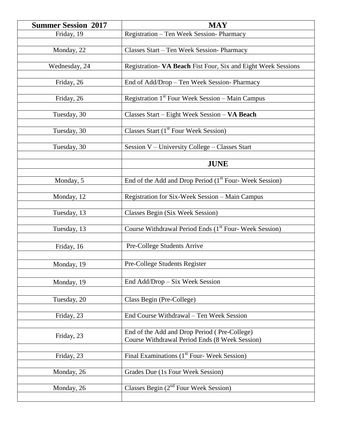| <b>Summer Session 2017</b>             | <b>MAY</b>                                                                                                                      |
|----------------------------------------|---------------------------------------------------------------------------------------------------------------------------------|
| Friday, 19                             | Registration - Ten Week Session- Pharmacy                                                                                       |
|                                        |                                                                                                                                 |
| Monday, 22                             | Classes Start - Ten Week Session- Pharmacy                                                                                      |
|                                        |                                                                                                                                 |
| Wednesday, 24                          | Registration- VA Beach Fist Four, Six and Eight Week Sessions                                                                   |
|                                        |                                                                                                                                 |
| Friday, 26                             | End of Add/Drop - Ten Week Session- Pharmacy                                                                                    |
|                                        |                                                                                                                                 |
| Friday, 26                             | Registration $1st$ Four Week Session – Main Campus                                                                              |
|                                        |                                                                                                                                 |
| Tuesday, 30                            | Classes Start - Eight Week Session - VA Beach                                                                                   |
|                                        |                                                                                                                                 |
| Tuesday, 30                            | Classes Start (1 <sup>st</sup> Four Week Session)                                                                               |
|                                        |                                                                                                                                 |
| Tuesday, 30                            | Session V - University College - Classes Start                                                                                  |
|                                        |                                                                                                                                 |
|                                        | <b>JUNE</b>                                                                                                                     |
|                                        |                                                                                                                                 |
| Monday, 5                              | End of the Add and Drop Period (1 <sup>st</sup> Four-Week Session)                                                              |
|                                        |                                                                                                                                 |
| Monday, 12                             | Registration for Six-Week Session - Main Campus                                                                                 |
|                                        |                                                                                                                                 |
| Tuesday, 13                            | Classes Begin (Six Week Session)                                                                                                |
|                                        |                                                                                                                                 |
| Tuesday, 13                            | Course Withdrawal Period Ends (1st Four- Week Session)                                                                          |
|                                        |                                                                                                                                 |
| Friday, 16                             | Pre-College Students Arrive                                                                                                     |
|                                        |                                                                                                                                 |
| Monday, 19                             | Pre-College Students Register                                                                                                   |
|                                        |                                                                                                                                 |
| Monday, 19                             | End Add/Drop - Six Week Session                                                                                                 |
|                                        |                                                                                                                                 |
| Tuesday, 20                            | Class Begin (Pre-College)                                                                                                       |
|                                        |                                                                                                                                 |
| Friday, 23                             | End Course Withdrawal - Ten Week Session                                                                                        |
|                                        |                                                                                                                                 |
|                                        | End of the Add and Drop Period (Pre-College)                                                                                    |
| Friday, 23                             | Course Withdrawal Period Ends (8 Week Session)                                                                                  |
|                                        |                                                                                                                                 |
|                                        |                                                                                                                                 |
|                                        |                                                                                                                                 |
|                                        |                                                                                                                                 |
|                                        |                                                                                                                                 |
|                                        |                                                                                                                                 |
|                                        |                                                                                                                                 |
| Friday, 23<br>Monday, 26<br>Monday, 26 | Final Examinations $(1st$ Four-Week Session)<br>Grades Due (1s Four Week Session)<br>Classes Begin $(2^{nd}$ Four Week Session) |